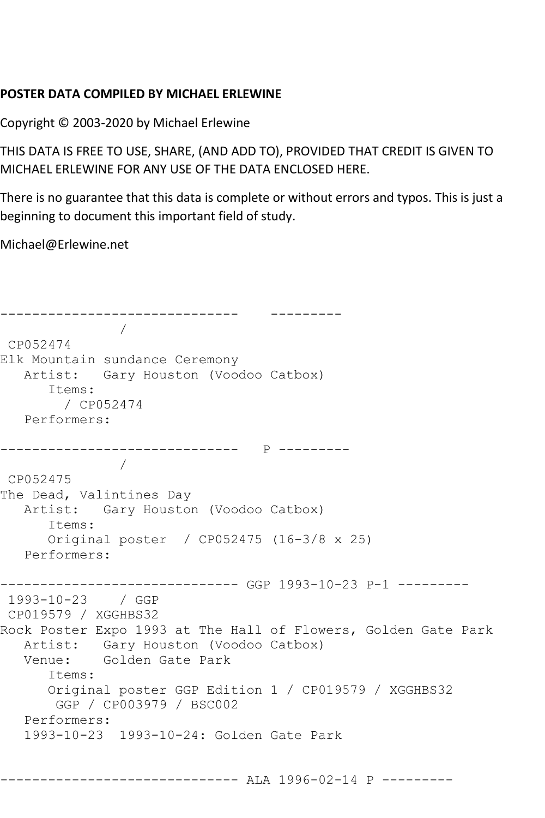## **POSTER DATA COMPILED BY MICHAEL ERLEWINE**

Copyright © 2003-2020 by Michael Erlewine

THIS DATA IS FREE TO USE, SHARE, (AND ADD TO), PROVIDED THAT CREDIT IS GIVEN TO MICHAEL ERLEWINE FOR ANY USE OF THE DATA ENCLOSED HERE.

There is no guarantee that this data is complete or without errors and typos. This is just a beginning to document this important field of study.

Michael@Erlewine.net

```
------------------------------ ---------
 / 
CP052474
Elk Mountain sundance Ceremony
   Artist: Gary Houston (Voodoo Catbox)
      Items:
        / CP052474
   Performers:
------------------------------ P ---------
 / 
CP052475
The Dead, Valintines Day
   Artist: Gary Houston (Voodoo Catbox)
      Items:
      Original poster / CP052475 (16-3/8 x 25)
   Performers:
------------------------------ GGP 1993-10-23 P-1 ---------
1993-10-23 / GGP 
CP019579 / XGGHBS32
Rock Poster Expo 1993 at The Hall of Flowers, Golden Gate Park
   Artist: Gary Houston (Voodoo Catbox)
   Venue: Golden Gate Park
      Items:
      Original poster GGP Edition 1 / CP019579 / XGGHBS32
       GGP / CP003979 / BSC002
   Performers:
   1993-10-23 1993-10-24: Golden Gate Park
```
------------------------------ ALA 1996-02-14 P ---------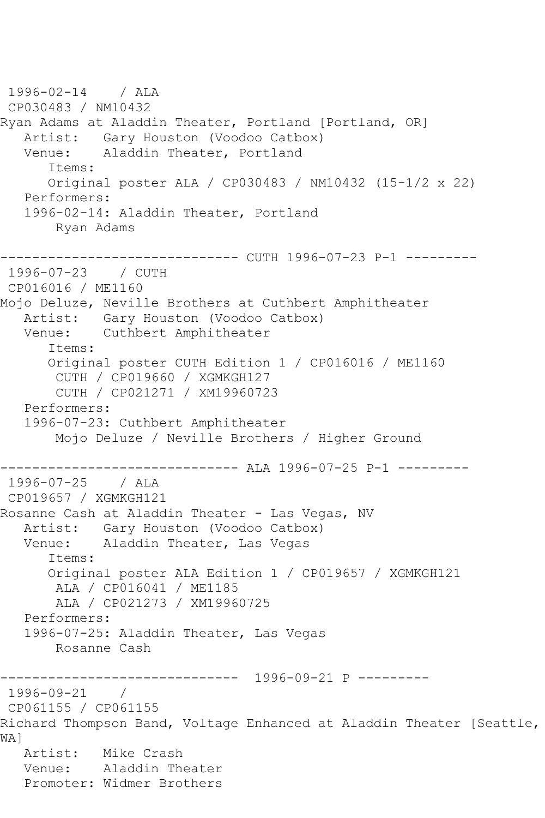```
1996-02-14 / ALA 
CP030483 / NM10432
Ryan Adams at Aladdin Theater, Portland [Portland, OR]
  Artist: Gary Houston (Voodoo Catbox)<br>Venue: Aladdin Theater, Portland
            Aladdin Theater, Portland
       Items:
       Original poster ALA / CP030483 / NM10432 (15-1/2 x 22)
   Performers:
    1996-02-14: Aladdin Theater, Portland
        Ryan Adams
   ------------------------------ CUTH 1996-07-23 P-1 ---------
1996-07-23 / CUTH 
CP016016 / ME1160
Mojo Deluze, Neville Brothers at Cuthbert Amphitheater
   Artist: Gary Houston (Voodoo Catbox)
   Venue: Cuthbert Amphitheater
       Items:
       Original poster CUTH Edition 1 / CP016016 / ME1160
        CUTH / CP019660 / XGMKGH127
        CUTH / CP021271 / XM19960723
   Performers:
    1996-07-23: Cuthbert Amphitheater
        Mojo Deluze / Neville Brothers / Higher Ground
------------------------------ ALA 1996-07-25 P-1 ---------
1996-07-25 / ALA 
CP019657 / XGMKGH121
Rosanne Cash at Aladdin Theater - Las Vegas, NV
   Artist: Gary Houston (Voodoo Catbox)
   Venue: Aladdin Theater, Las Vegas
       Items:
       Original poster ALA Edition 1 / CP019657 / XGMKGH121
        ALA / CP016041 / ME1185
        ALA / CP021273 / XM19960725
   Performers:
    1996-07-25: Aladdin Theater, Las Vegas
        Rosanne Cash
                ------------------------------ 1996-09-21 P ---------
1996-09-21 / 
CP061155 / CP061155
Richard Thompson Band, Voltage Enhanced at Aladdin Theater [Seattle, 
WA]
   Artist: Mike Crash
   Venue: Aladdin Theater
   Promoter: Widmer Brothers
```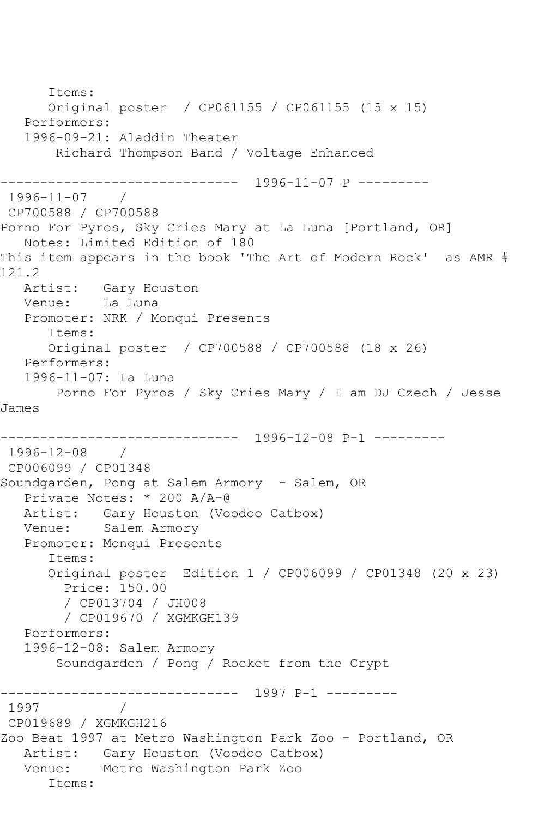Items: Original poster / CP061155 / CP061155 (15 x 15) Performers: 1996-09-21: Aladdin Theater Richard Thompson Band / Voltage Enhanced ------------------------------ 1996-11-07 P --------- 1996-11-07 / CP700588 / CP700588 Porno For Pyros, Sky Cries Mary at La Luna [Portland, OR] Notes: Limited Edition of 180 This item appears in the book 'The Art of Modern Rock' as AMR # 121.2 Artist: Gary Houston Venue: La Luna Promoter: NRK / Monqui Presents Items: Original poster / CP700588 / CP700588 (18 x 26) Performers: 1996-11-07: La Luna Porno For Pyros / Sky Cries Mary / I am DJ Czech / Jesse James ------------------------------ 1996-12-08 P-1 --------- 1996-12-08 / CP006099 / CP01348 Soundgarden, Pong at Salem Armory - Salem, OR Private Notes: \* 200 A/A-@ Artist: Gary Houston (Voodoo Catbox) Venue: Salem Armory Promoter: Monqui Presents Items: Original poster Edition 1 / CP006099 / CP01348 (20 x 23) Price: 150.00 / CP013704 / JH008 / CP019670 / XGMKGH139 Performers: 1996-12-08: Salem Armory Soundgarden / Pong / Rocket from the Crypt ------------------------------ 1997 P-1 --------- 1997 CP019689 / XGMKGH216 Zoo Beat 1997 at Metro Washington Park Zoo - Portland, OR Artist: Gary Houston (Voodoo Catbox) Venue: Metro Washington Park Zoo Items: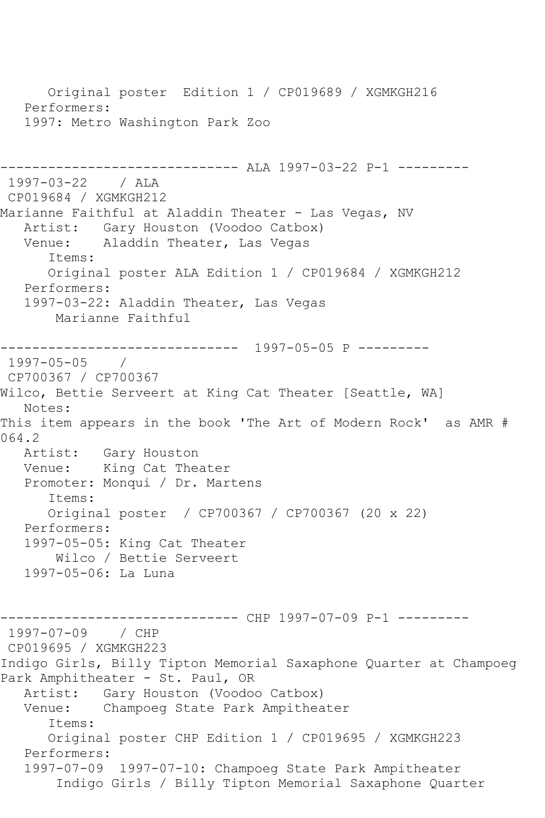Original poster Edition 1 / CP019689 / XGMKGH216 Performers: 1997: Metro Washington Park Zoo ------------------------------ ALA 1997-03-22 P-1 --------- 1997-03-22 / ALA CP019684 / XGMKGH212 Marianne Faithful at Aladdin Theater - Las Vegas, NV Artist: Gary Houston (Voodoo Catbox)<br>Venue: Aladdin Theater, Las Vegas Aladdin Theater, Las Vegas Items: Original poster ALA Edition 1 / CP019684 / XGMKGH212 Performers: 1997-03-22: Aladdin Theater, Las Vegas Marianne Faithful ------------------------------ 1997-05-05 P --------- 1997-05-05 / CP700367 / CP700367 Wilco, Bettie Serveert at King Cat Theater [Seattle, WA] Notes: This item appears in the book 'The Art of Modern Rock' as AMR # 064.2 Artist: Gary Houston<br>Venue: King Cat The King Cat Theater Promoter: Monqui / Dr. Martens Items: Original poster / CP700367 / CP700367 (20 x 22) Performers: 1997-05-05: King Cat Theater Wilco / Bettie Serveert 1997-05-06: La Luna ------------------------------ CHP 1997-07-09 P-1 --------- 1997-07-09 / CHP CP019695 / XGMKGH223 Indigo Girls, Billy Tipton Memorial Saxaphone Quarter at Champoeg Park Amphitheater - St. Paul, OR Artist: Gary Houston (Voodoo Catbox) Venue: Champoeg State Park Ampitheater Items: Original poster CHP Edition 1 / CP019695 / XGMKGH223 Performers: 1997-07-09 1997-07-10: Champoeg State Park Ampitheater Indigo Girls / Billy Tipton Memorial Saxaphone Quarter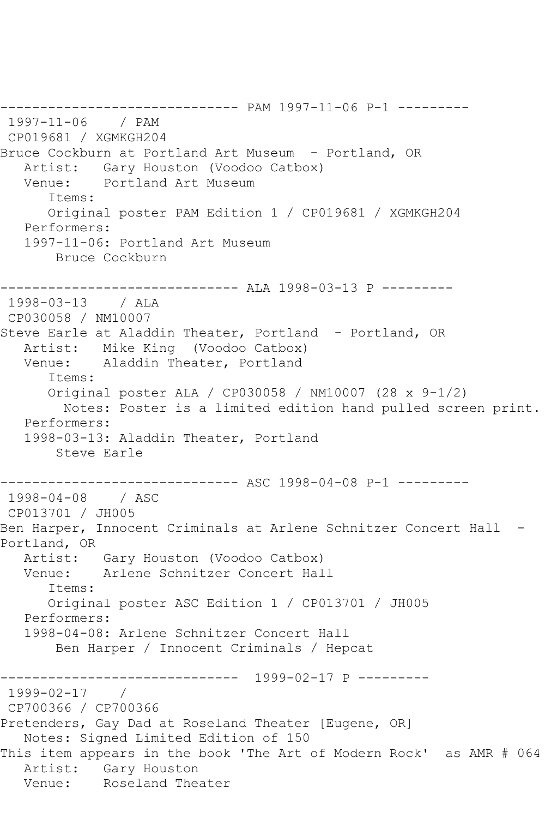------------------------------ PAM 1997-11-06 P-1 --------- 1997-11-06 / PAM CP019681 / XGMKGH204 Bruce Cockburn at Portland Art Museum - Portland, OR Artist: Gary Houston (Voodoo Catbox)<br>Venue: Portland Art Museum Portland Art Museum Items: Original poster PAM Edition 1 / CP019681 / XGMKGH204 Performers: 1997-11-06: Portland Art Museum Bruce Cockburn ------------------------------ ALA 1998-03-13 P --------- 1998-03-13 / ALA CP030058 / NM10007 Steve Earle at Aladdin Theater, Portland - Portland, OR Artist: Mike King (Voodoo Catbox) Venue: Aladdin Theater, Portland Items: Original poster ALA / CP030058 / NM10007 (28 x 9-1/2) Notes: Poster is a limited edition hand pulled screen print. Performers: 1998-03-13: Aladdin Theater, Portland Steve Earle ------------------------------ ASC 1998-04-08 P-1 --------- 1998-04-08 / ASC CP013701 / JH005 Ben Harper, Innocent Criminals at Arlene Schnitzer Concert Hall -Portland, OR Artist: Gary Houston (Voodoo Catbox)<br>Venue: Arlene Schnitzer Concert Hal Arlene Schnitzer Concert Hall Items: Original poster ASC Edition 1 / CP013701 / JH005 Performers: 1998-04-08: Arlene Schnitzer Concert Hall Ben Harper / Innocent Criminals / Hepcat \_\_\_\_\_\_\_\_\_\_\_\_\_\_\_ ------------------------------ 1999-02-17 P --------- 1999-02-17 / CP700366 / CP700366 Pretenders, Gay Dad at Roseland Theater [Eugene, OR] Notes: Signed Limited Edition of 150 This item appears in the book 'The Art of Modern Rock' as AMR # 064 Artist: Gary Houston<br>Venue: Roseland The Roseland Theater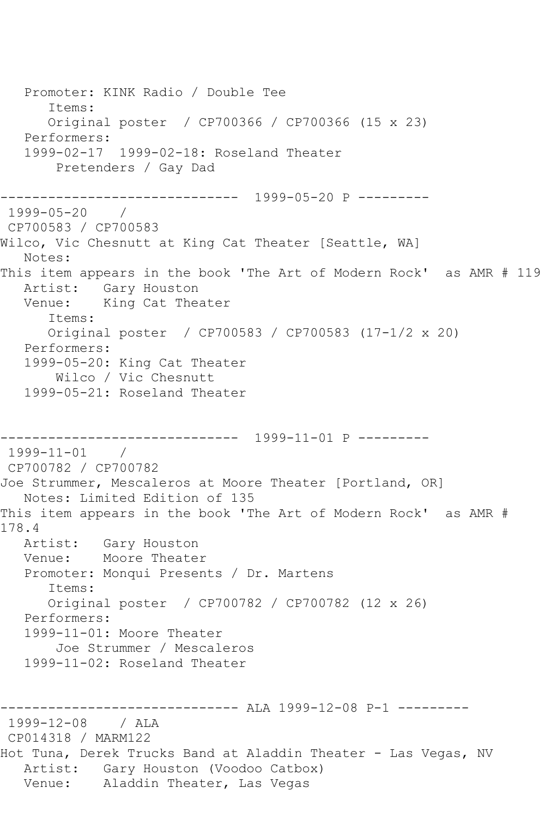```
 Promoter: KINK Radio / Double Tee
       Items:
      Original poster / CP700366 / CP700366 (15 x 23)
   Performers:
   1999-02-17 1999-02-18: Roseland Theater
        Pretenders / Gay Dad
------------------------------ 1999-05-20 P ---------
1999-05-20 / 
CP700583 / CP700583
Wilco, Vic Chesnutt at King Cat Theater [Seattle, WA]
   Notes: 
This item appears in the book 'The Art of Modern Rock' as AMR # 119
   Artist: Gary Houston
   Venue: King Cat Theater
      Items:
      Original poster / CP700583 / CP700583 (17-1/2 x 20)
   Performers:
   1999-05-20: King Cat Theater
       Wilco / Vic Chesnutt
   1999-05-21: Roseland Theater
------------------------------ 1999-11-01 P ---------
1999-11-01 / 
CP700782 / CP700782
Joe Strummer, Mescaleros at Moore Theater [Portland, OR]
   Notes: Limited Edition of 135
This item appears in the book 'The Art of Modern Rock' as AMR # 
178.4
   Artist: Gary Houston
   Venue: Moore Theater
   Promoter: Monqui Presents / Dr. Martens
      Items:
      Original poster / CP700782 / CP700782 (12 x 26)
   Performers:
   1999-11-01: Moore Theater
        Joe Strummer / Mescaleros
   1999-11-02: Roseland Theater
------------------------------ ALA 1999-12-08 P-1 ---------
1999-12-08 / ALA 
CP014318 / MARM122
Hot Tuna, Derek Trucks Band at Aladdin Theater - Las Vegas, NV
   Artist: Gary Houston (Voodoo Catbox)
   Venue: Aladdin Theater, Las Vegas
```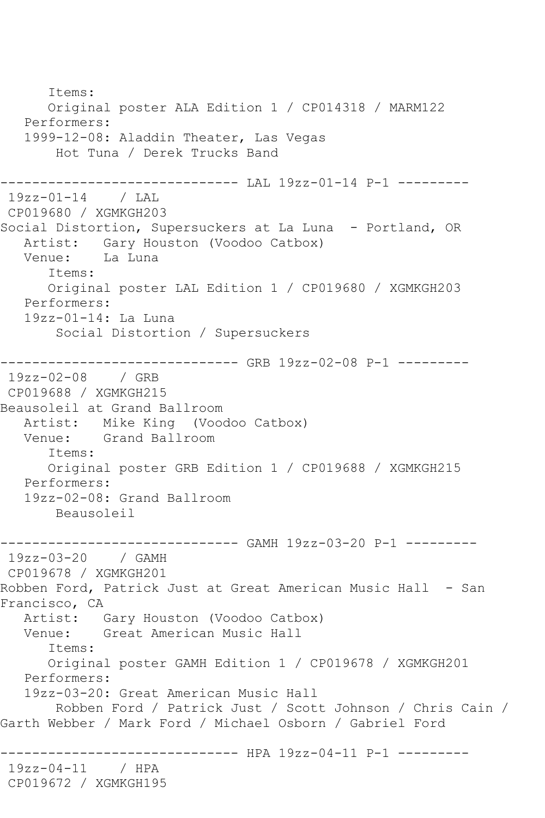Items: Original poster ALA Edition 1 / CP014318 / MARM122 Performers: 1999-12-08: Aladdin Theater, Las Vegas Hot Tuna / Derek Trucks Band ------------------------------ LAL 19zz-01-14 P-1 --------- 19zz-01-14 / LAL CP019680 / XGMKGH203 Social Distortion, Supersuckers at La Luna - Portland, OR Artist: Gary Houston (Voodoo Catbox)<br>Venue: La Luna La Luna Items: Original poster LAL Edition 1 / CP019680 / XGMKGH203 Performers: 19zz-01-14: La Luna Social Distortion / Supersuckers ------------------------------ GRB 19zz-02-08 P-1 --------- 19zz-02-08 / GRB CP019688 / XGMKGH215 Beausoleil at Grand Ballroom Artist: Mike King (Voodoo Catbox)<br>Venue: Grand Ballroom Grand Ballroom Items: Original poster GRB Edition 1 / CP019688 / XGMKGH215 Performers: 19zz-02-08: Grand Ballroom Beausoleil ------------------------------ GAMH 19zz-03-20 P-1 --------- 19zz-03-20 / GAMH CP019678 / XGMKGH201 Robben Ford, Patrick Just at Great American Music Hall - San Francisco, CA Artist: Gary Houston (Voodoo Catbox) Venue: Great American Music Hall Items: Original poster GAMH Edition 1 / CP019678 / XGMKGH201 Performers: 19zz-03-20: Great American Music Hall Robben Ford / Patrick Just / Scott Johnson / Chris Cain / Garth Webber / Mark Ford / Michael Osborn / Gabriel Ford ------------------------------ HPA 19zz-04-11 P-1 --------- 19zz-04-11 / HPA CP019672 / XGMKGH195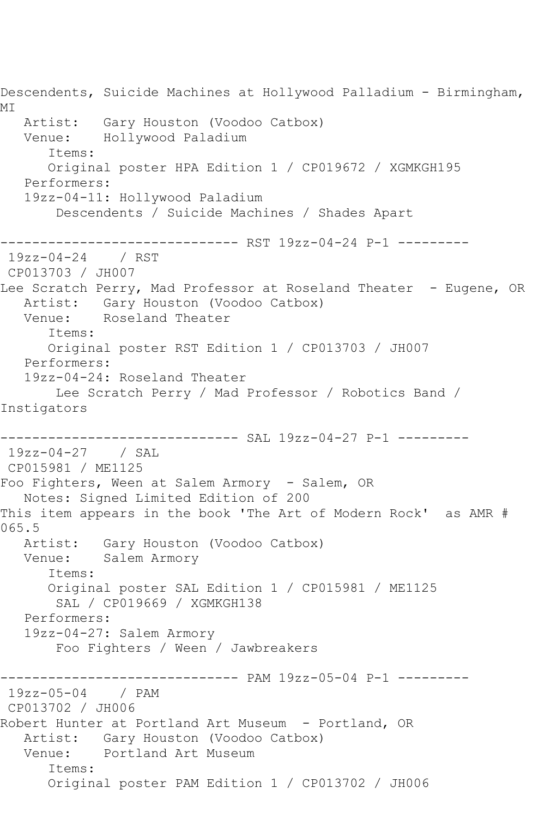Descendents, Suicide Machines at Hollywood Palladium - Birmingham, MI Artist: Gary Houston (Voodoo Catbox) Venue: Hollywood Paladium Items: Original poster HPA Edition 1 / CP019672 / XGMKGH195 Performers: 19zz-04-11: Hollywood Paladium Descendents / Suicide Machines / Shades Apart ------------------------------ RST 19zz-04-24 P-1 --------- 19zz-04-24 / RST CP013703 / JH007 Lee Scratch Perry, Mad Professor at Roseland Theater - Eugene, OR Artist: Gary Houston (Voodoo Catbox) Venue: Roseland Theater Items: Original poster RST Edition 1 / CP013703 / JH007 Performers: 19zz-04-24: Roseland Theater Lee Scratch Perry / Mad Professor / Robotics Band / Instigators ------------------------------ SAL 19zz-04-27 P-1 --------- 19zz-04-27 / SAL CP015981 / ME1125 Foo Fighters, Ween at Salem Armory - Salem, OR Notes: Signed Limited Edition of 200 This item appears in the book 'The Art of Modern Rock' as AMR # 065.5 Artist: Gary Houston (Voodoo Catbox) Venue: Salem Armory Items: Original poster SAL Edition 1 / CP015981 / ME1125 SAL / CP019669 / XGMKGH138 Performers: 19zz-04-27: Salem Armory Foo Fighters / Ween / Jawbreakers ------------------------------ PAM 19zz-05-04 P-1 --------- 19zz-05-04 / PAM CP013702 / JH006 Robert Hunter at Portland Art Museum - Portland, OR Artist: Gary Houston (Voodoo Catbox) Venue: Portland Art Museum Items: Original poster PAM Edition 1 / CP013702 / JH006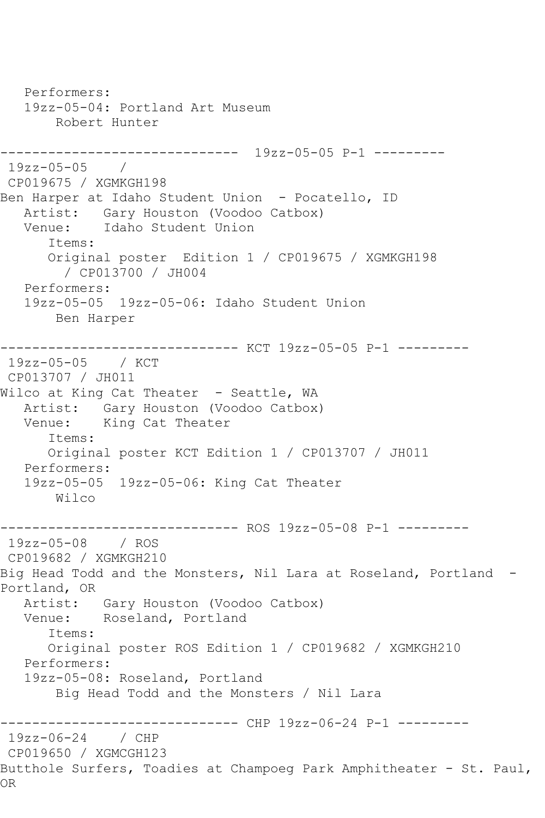Performers: 19zz-05-04: Portland Art Museum Robert Hunter ------------------------------ 19zz-05-05 P-1 --------- 19zz-05-05 / CP019675 / XGMKGH198 Ben Harper at Idaho Student Union - Pocatello, ID Artist: Gary Houston (Voodoo Catbox) Venue: Idaho Student Union Items: Original poster Edition 1 / CP019675 / XGMKGH198 / CP013700 / JH004 Performers: 19zz-05-05 19zz-05-06: Idaho Student Union Ben Harper ------------------------------ KCT 19zz-05-05 P-1 --------- 19zz-05-05 / KCT CP013707 / JH011 Wilco at King Cat Theater - Seattle, WA Artist: Gary Houston (Voodoo Catbox) Venue: King Cat Theater Items: Original poster KCT Edition 1 / CP013707 / JH011 Performers: 19zz-05-05 19zz-05-06: King Cat Theater Wilco ------------------------------ ROS 19zz-05-08 P-1 --------- 19zz-05-08 / ROS CP019682 / XGMKGH210 Big Head Todd and the Monsters, Nil Lara at Roseland, Portland -Portland, OR Artist: Gary Houston (Voodoo Catbox) Venue: Roseland, Portland Items: Original poster ROS Edition 1 / CP019682 / XGMKGH210 Performers: 19zz-05-08: Roseland, Portland Big Head Todd and the Monsters / Nil Lara ------------------------------ CHP 19zz-06-24 P-1 --------- 19zz-06-24 / CHP CP019650 / XGMCGH123 Butthole Surfers, Toadies at Champoeg Park Amphitheater - St. Paul, OR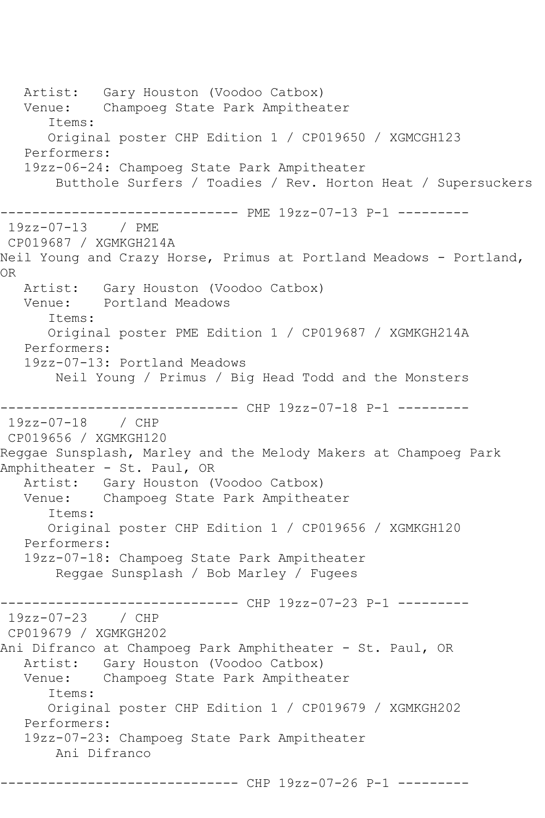Artist: Gary Houston (Voodoo Catbox) Venue: Champoeg State Park Ampitheater Items: Original poster CHP Edition 1 / CP019650 / XGMCGH123 Performers: 19zz-06-24: Champoeg State Park Ampitheater Butthole Surfers / Toadies / Rev. Horton Heat / Supersuckers --------------- PME 19zz-07-13 P-1 ---------19zz-07-13 / PME CP019687 / XGMKGH214A Neil Young and Crazy Horse, Primus at Portland Meadows - Portland, OR Artist: Gary Houston (Voodoo Catbox) Venue: Portland Meadows Items: Original poster PME Edition 1 / CP019687 / XGMKGH214A Performers: 19zz-07-13: Portland Meadows Neil Young / Primus / Big Head Todd and the Monsters -------------------- CHP 19zz-07-18 P-1 ---------19zz-07-18 / CHP CP019656 / XGMKGH120 Reggae Sunsplash, Marley and the Melody Makers at Champoeg Park Amphitheater - St. Paul, OR Artist: Gary Houston (Voodoo Catbox) Venue: Champoeg State Park Ampitheater Items: Original poster CHP Edition 1 / CP019656 / XGMKGH120 Performers: 19zz-07-18: Champoeg State Park Ampitheater Reggae Sunsplash / Bob Marley / Fugees ------------------------------ CHP 19zz-07-23 P-1 --------- 19zz-07-23 / CHP CP019679 / XGMKGH202 Ani Difranco at Champoeg Park Amphitheater - St. Paul, OR Artist: Gary Houston (Voodoo Catbox)<br>Venue: Champoeg State Park Ampithea Champoeg State Park Ampitheater Items: Original poster CHP Edition 1 / CP019679 / XGMKGH202 Performers: 19zz-07-23: Champoeg State Park Ampitheater Ani Difranco ------------------------------ CHP 19zz-07-26 P-1 ---------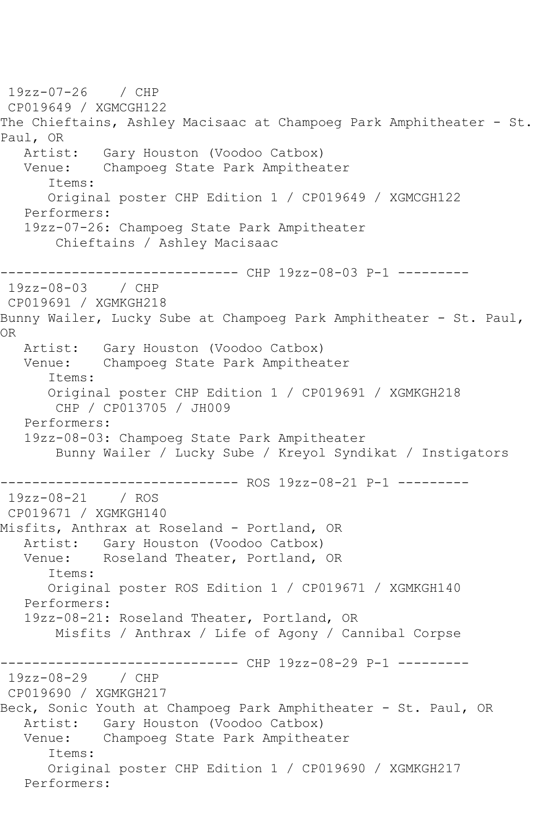19zz-07-26 / CHP CP019649 / XGMCGH122 The Chieftains, Ashley Macisaac at Champoeg Park Amphitheater - St. Paul, OR<br>Artist: Gary Houston (Voodoo Catbox) Venue: Champoeg State Park Ampitheater Items: Original poster CHP Edition 1 / CP019649 / XGMCGH122 Performers: 19zz-07-26: Champoeg State Park Ampitheater Chieftains / Ashley Macisaac ------------------------------ CHP 19zz-08-03 P-1 --------- 19zz-08-03 / CHP CP019691 / XGMKGH218 Bunny Wailer, Lucky Sube at Champoeg Park Amphitheater - St. Paul, OR Artist: Gary Houston (Voodoo Catbox) Venue: Champoeg State Park Ampitheater Items: Original poster CHP Edition 1 / CP019691 / XGMKGH218 CHP / CP013705 / JH009 Performers: 19zz-08-03: Champoeg State Park Ampitheater Bunny Wailer / Lucky Sube / Kreyol Syndikat / Instigators ------------------------------ ROS 19zz-08-21 P-1 --------- 19zz-08-21 / ROS CP019671 / XGMKGH140 Misfits, Anthrax at Roseland - Portland, OR Artist: Gary Houston (Voodoo Catbox) Venue: Roseland Theater, Portland, OR Items: Original poster ROS Edition 1 / CP019671 / XGMKGH140 Performers: 19zz-08-21: Roseland Theater, Portland, OR Misfits / Anthrax / Life of Agony / Cannibal Corpse ------------------------------ CHP 19zz-08-29 P-1 --------- 19zz-08-29 / CHP CP019690 / XGMKGH217 Beck, Sonic Youth at Champoeg Park Amphitheater - St. Paul, OR Artist: Gary Houston (Voodoo Catbox)<br>Venue: Champoeg State Park Ampithea Champoeg State Park Ampitheater Items: Original poster CHP Edition 1 / CP019690 / XGMKGH217 Performers: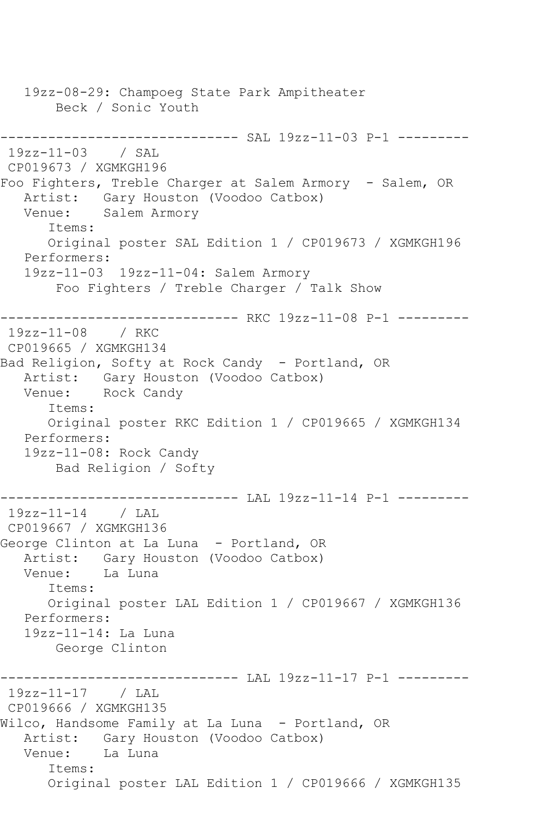19zz-08-29: Champoeg State Park Ampitheater Beck / Sonic Youth ------------------------------ SAL 19zz-11-03 P-1 --------- 19zz-11-03 / SAL CP019673 / XGMKGH196 Foo Fighters, Treble Charger at Salem Armory - Salem, OR Artist: Gary Houston (Voodoo Catbox) Venue: Salem Armory Items: Original poster SAL Edition 1 / CP019673 / XGMKGH196 Performers: 19zz-11-03 19zz-11-04: Salem Armory Foo Fighters / Treble Charger / Talk Show ------------------------------ RKC 19zz-11-08 P-1 --------- 19zz-11-08 / RKC CP019665 / XGMKGH134 Bad Religion, Softy at Rock Candy - Portland, OR Artist: Gary Houston (Voodoo Catbox)<br>Venue: Rock Candv Rock Candy Items: Original poster RKC Edition 1 / CP019665 / XGMKGH134 Performers: 19zz-11-08: Rock Candy Bad Religion / Softy ------------ LAL 19zz-11-14 P-1 ---------19zz-11-14 / LAL CP019667 / XGMKGH136 George Clinton at La Luna - Portland, OR Artist: Gary Houston (Voodoo Catbox)<br>Venue: La Luna La Luna Items: Original poster LAL Edition 1 / CP019667 / XGMKGH136 Performers: 19zz-11-14: La Luna George Clinton ------------------------------ LAL 19zz-11-17 P-1 --------- 19zz-11-17 / LAL CP019666 / XGMKGH135 Wilco, Handsome Family at La Luna - Portland, OR Artist: Gary Houston (Voodoo Catbox) Venue: La Luna Items: Original poster LAL Edition 1 / CP019666 / XGMKGH135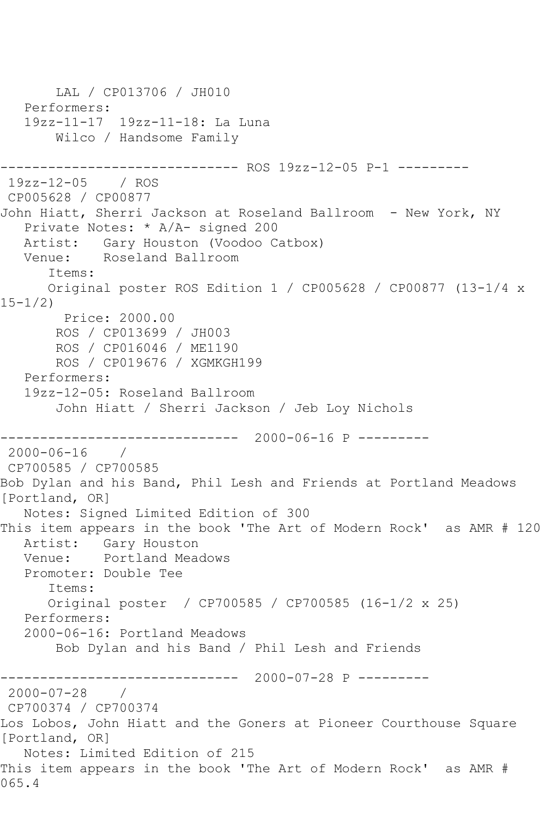```
 LAL / CP013706 / JH010
   Performers:
   19zz-11-17 19zz-11-18: La Luna
       Wilco / Handsome Family
          ------------------------------ ROS 19zz-12-05 P-1 ---------
19zz-12-05 / ROS 
CP005628 / CP00877
John Hiatt, Sherri Jackson at Roseland Ballroom - New York, NY
   Private Notes: * A/A- signed 200
   Artist: Gary Houston (Voodoo Catbox)
   Venue: Roseland Ballroom
       Items:
      Original poster ROS Edition 1 / CP005628 / CP00877 (13-1/4 x 
15-1/2)
        Price: 2000.00
       ROS / CP013699 / JH003
       ROS / CP016046 / ME1190
       ROS / CP019676 / XGMKGH199
   Performers:
   19zz-12-05: Roseland Ballroom
       John Hiatt / Sherri Jackson / Jeb Loy Nichols
------------------------------ 2000-06-16 P ---------
2000-06-16 / 
CP700585 / CP700585
Bob Dylan and his Band, Phil Lesh and Friends at Portland Meadows 
[Portland, OR]
   Notes: Signed Limited Edition of 300
This item appears in the book 'The Art of Modern Rock' as AMR # 120
   Artist: Gary Houston
   Venue: Portland Meadows
   Promoter: Double Tee
       Items:
       Original poster / CP700585 / CP700585 (16-1/2 x 25)
   Performers:
   2000-06-16: Portland Meadows
       Bob Dylan and his Band / Phil Lesh and Friends
------------------------------ 2000-07-28 P ---------
2000-07-28 / 
CP700374 / CP700374
Los Lobos, John Hiatt and the Goners at Pioneer Courthouse Square 
[Portland, OR]
   Notes: Limited Edition of 215
This item appears in the book 'The Art of Modern Rock' as AMR # 
065.4
```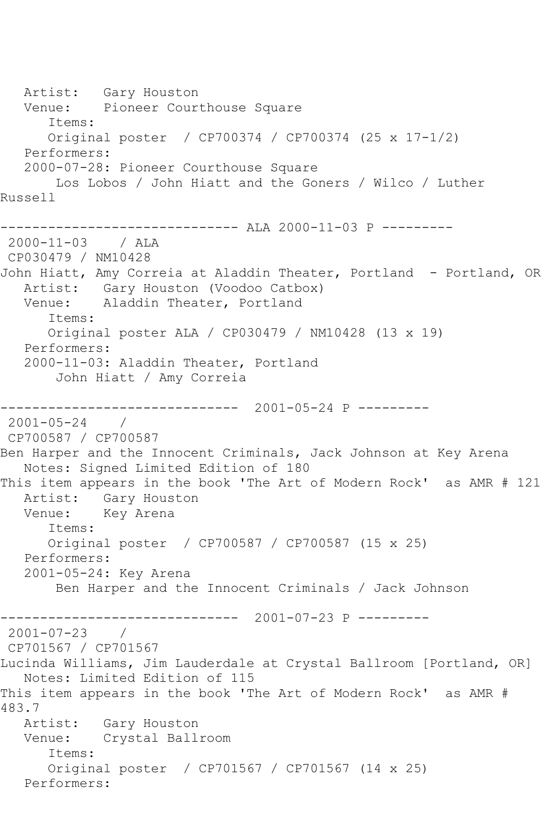Artist: Gary Houston Venue: Pioneer Courthouse Square Items: Original poster / CP700374 / CP700374 (25 x 17-1/2) Performers: 2000-07-28: Pioneer Courthouse Square Los Lobos / John Hiatt and the Goners / Wilco / Luther Russell ------------------------------ ALA 2000-11-03 P --------- 2000-11-03 / ALA CP030479 / NM10428 John Hiatt, Amy Correia at Aladdin Theater, Portland - Portland, OR Artist: Gary Houston (Voodoo Catbox) Venue: Aladdin Theater, Portland Items: Original poster ALA / CP030479 / NM10428 (13 x 19) Performers: 2000-11-03: Aladdin Theater, Portland John Hiatt / Amy Correia ------------------------------ 2001-05-24 P --------- 2001-05-24 / CP700587 / CP700587 Ben Harper and the Innocent Criminals, Jack Johnson at Key Arena Notes: Signed Limited Edition of 180 This item appears in the book 'The Art of Modern Rock' as AMR # 121 Artist: Gary Houston Venue: Key Arena Items: Original poster / CP700587 / CP700587 (15 x 25) Performers: 2001-05-24: Key Arena Ben Harper and the Innocent Criminals / Jack Johnson ------------------------------ 2001-07-23 P --------- 2001-07-23 / CP701567 / CP701567 Lucinda Williams, Jim Lauderdale at Crystal Ballroom [Portland, OR] Notes: Limited Edition of 115 This item appears in the book 'The Art of Modern Rock' as AMR # 483.7 Artist: Gary Houston Venue: Crystal Ballroom Items: Original poster / CP701567 / CP701567 (14 x 25) Performers: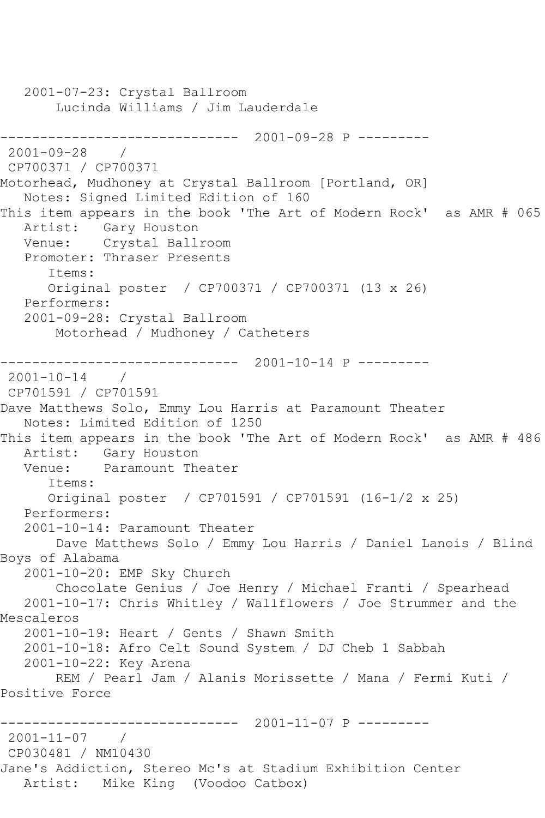2001-07-23: Crystal Ballroom Lucinda Williams / Jim Lauderdale ------------------------------ 2001-09-28 P ---------  $2001 - 09 - 28$ CP700371 / CP700371 Motorhead, Mudhoney at Crystal Ballroom [Portland, OR] Notes: Signed Limited Edition of 160 This item appears in the book 'The Art of Modern Rock' as AMR # 065 Artist: Gary Houston Venue: Crystal Ballroom Promoter: Thraser Presents Items: Original poster / CP700371 / CP700371 (13 x 26) Performers: 2001-09-28: Crystal Ballroom Motorhead / Mudhoney / Catheters ------------------------------ 2001-10-14 P --------- 2001-10-14 / CP701591 / CP701591 Dave Matthews Solo, Emmy Lou Harris at Paramount Theater Notes: Limited Edition of 1250 This item appears in the book 'The Art of Modern Rock' as AMR # 486 Artist: Gary Houston<br>Venue: Paramount The Paramount Theater Items: Original poster / CP701591 / CP701591 (16-1/2 x 25) Performers: 2001-10-14: Paramount Theater Dave Matthews Solo / Emmy Lou Harris / Daniel Lanois / Blind Boys of Alabama 2001-10-20: EMP Sky Church Chocolate Genius / Joe Henry / Michael Franti / Spearhead 2001-10-17: Chris Whitley / Wallflowers / Joe Strummer and the Mescaleros 2001-10-19: Heart / Gents / Shawn Smith 2001-10-18: Afro Celt Sound System / DJ Cheb 1 Sabbah 2001-10-22: Key Arena REM / Pearl Jam / Alanis Morissette / Mana / Fermi Kuti / Positive Force ------------------------------ 2001-11-07 P --------- 2001-11-07 / CP030481 / NM10430 Jane's Addiction, Stereo Mc's at Stadium Exhibition Center Artist: Mike King (Voodoo Catbox)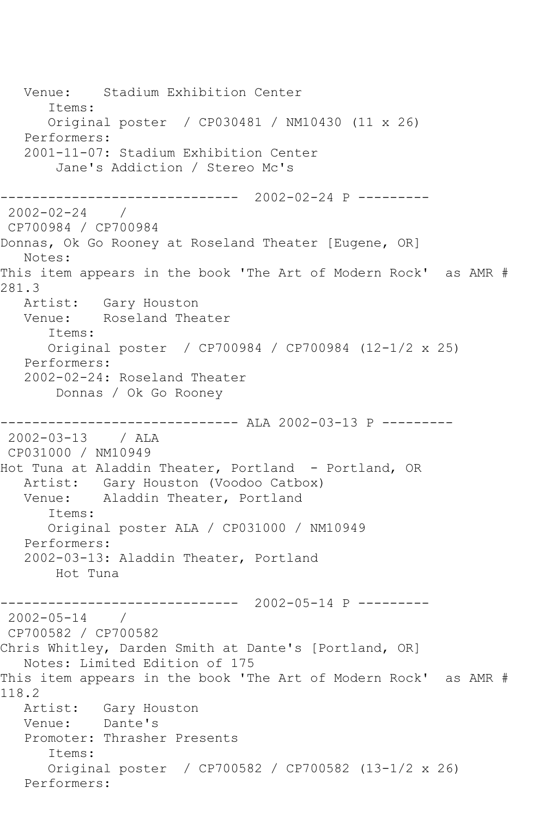Venue: Stadium Exhibition Center Items: Original poster / CP030481 / NM10430 (11 x 26) Performers: 2001-11-07: Stadium Exhibition Center Jane's Addiction / Stereo Mc's ------------------------------ 2002-02-24 P --------- 2002-02-24 / CP700984 / CP700984 Donnas, Ok Go Rooney at Roseland Theater [Eugene, OR] Notes: This item appears in the book 'The Art of Modern Rock' as AMR # 281.3 Artist: Gary Houston Venue: Roseland Theater Items: Original poster / CP700984 / CP700984 (12-1/2 x 25) Performers: 2002-02-24: Roseland Theater Donnas / Ok Go Rooney ------------------------------ ALA 2002-03-13 P --------- 2002-03-13 / ALA CP031000 / NM10949 Hot Tuna at Aladdin Theater, Portland - Portland, OR Artist: Gary Houston (Voodoo Catbox) Venue: Aladdin Theater, Portland Items: Original poster ALA / CP031000 / NM10949 Performers: 2002-03-13: Aladdin Theater, Portland Hot Tuna ------------------------------ 2002-05-14 P --------- 2002-05-14 / CP700582 / CP700582 Chris Whitley, Darden Smith at Dante's [Portland, OR] Notes: Limited Edition of 175 This item appears in the book 'The Art of Modern Rock' as AMR # 118.2 Artist: Gary Houston Venue: Dante's Promoter: Thrasher Presents Items: Original poster / CP700582 / CP700582 (13-1/2 x 26) Performers: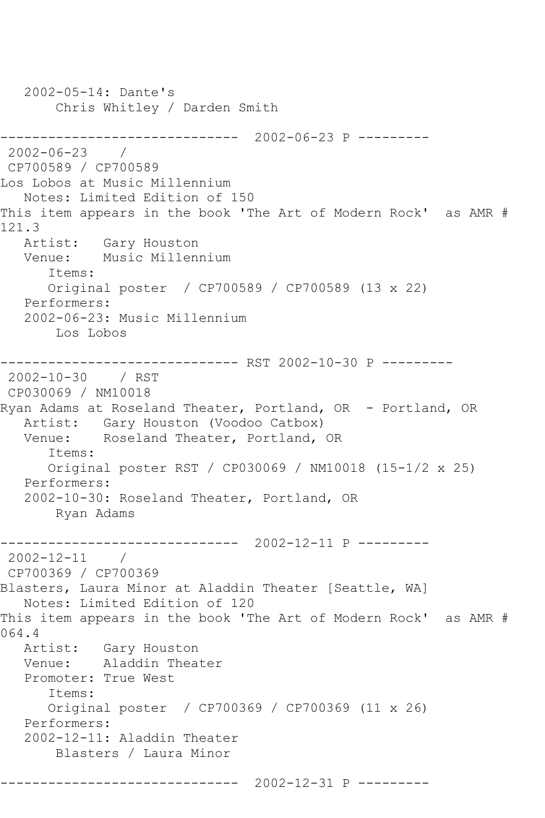2002-05-14: Dante's Chris Whitley / Darden Smith ------------------------------ 2002-06-23 P --------- 2002-06-23 / CP700589 / CP700589 Los Lobos at Music Millennium Notes: Limited Edition of 150 This item appears in the book 'The Art of Modern Rock' as AMR # 121.3<br>Artist: Gary Houston Venue: Music Millennium Items: Original poster / CP700589 / CP700589 (13 x 22) Performers: 2002-06-23: Music Millennium Los Lobos ------------------------------ RST 2002-10-30 P --------- 2002-10-30 / RST CP030069 / NM10018 Ryan Adams at Roseland Theater, Portland, OR - Portland, OR Artist: Gary Houston (Voodoo Catbox)<br>Venue: Roseland Theater, Portland, Roseland Theater, Portland, OR Items: Original poster RST / CP030069 / NM10018 (15-1/2 x 25) Performers: 2002-10-30: Roseland Theater, Portland, OR Ryan Adams ------------------------------ 2002-12-11 P --------- 2002-12-11 / CP700369 / CP700369 Blasters, Laura Minor at Aladdin Theater [Seattle, WA] Notes: Limited Edition of 120 This item appears in the book 'The Art of Modern Rock' as AMR # 064.4 Artist: Gary Houston Venue: Aladdin Theater Promoter: True West Items: Original poster / CP700369 / CP700369 (11 x 26) Performers: 2002-12-11: Aladdin Theater Blasters / Laura Minor ------------------------------ 2002-12-31 P ---------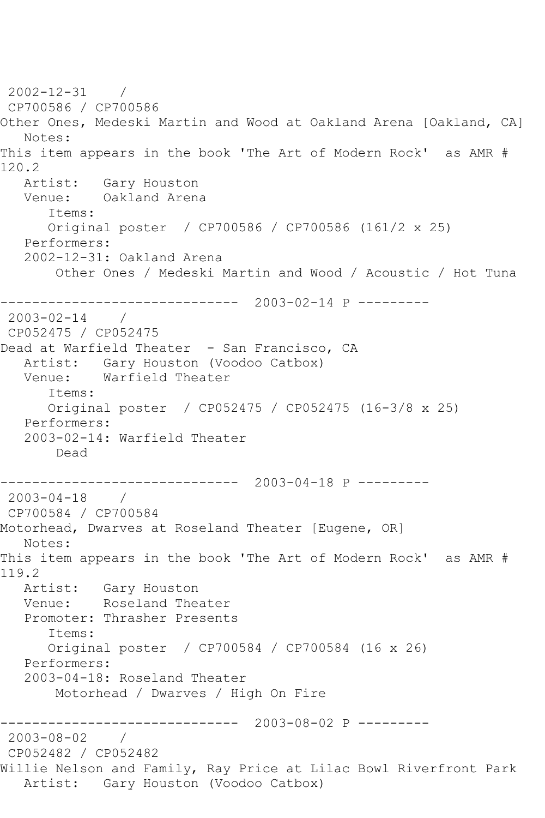2002-12-31 / CP700586 / CP700586 Other Ones, Medeski Martin and Wood at Oakland Arena [Oakland, CA] Notes: This item appears in the book 'The Art of Modern Rock' as AMR # 120.2 Artist: Gary Houston Venue: Oakland Arena Items: Original poster / CP700586 / CP700586 (161/2 x 25) Performers: 2002-12-31: Oakland Arena Other Ones / Medeski Martin and Wood / Acoustic / Hot Tuna ------------------------------ 2003-02-14 P --------- 2003-02-14 / CP052475 / CP052475 Dead at Warfield Theater - San Francisco, CA Artist: Gary Houston (Voodoo Catbox) Venue: Warfield Theater Items: Original poster / CP052475 / CP052475 (16-3/8 x 25) Performers: 2003-02-14: Warfield Theater Dead ------------------------------ 2003-04-18 P --------- 2003-04-18 / CP700584 / CP700584 Motorhead, Dwarves at Roseland Theater [Eugene, OR] Notes: This item appears in the book 'The Art of Modern Rock' as AMR # 119.2 Artist: Gary Houston Venue: Roseland Theater Promoter: Thrasher Presents Items: Original poster / CP700584 / CP700584 (16 x 26) Performers: 2003-04-18: Roseland Theater Motorhead / Dwarves / High On Fire ------------------------------ 2003-08-02 P --------- 2003-08-02 / CP052482 / CP052482 Willie Nelson and Family, Ray Price at Lilac Bowl Riverfront Park Artist: Gary Houston (Voodoo Catbox)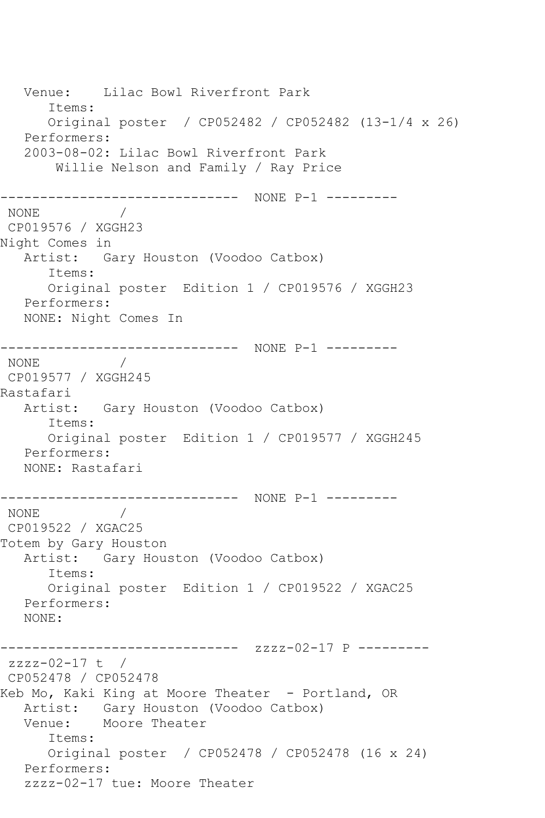Venue: Lilac Bowl Riverfront Park Items: Original poster / CP052482 / CP052482 (13-1/4 x 26) Performers: 2003-08-02: Lilac Bowl Riverfront Park Willie Nelson and Family / Ray Price ------------------------------ NONE P-1 --------- NONE / CP019576 / XGGH23 Night Comes in Artist: Gary Houston (Voodoo Catbox) Items: Original poster Edition 1 / CP019576 / XGGH23 Performers: NONE: Night Comes In ------------------------------ NONE P-1 --------- NONE / CP019577 / XGGH245 Rastafari Artist: Gary Houston (Voodoo Catbox) Items: Original poster Edition 1 / CP019577 / XGGH245 Performers: NONE: Rastafari ------------------------------ NONE P-1 --------- NONE / CP019522 / XGAC25 Totem by Gary Houston Artist: Gary Houston (Voodoo Catbox) Items: Original poster Edition 1 / CP019522 / XGAC25 Performers: NONE: ------------------------------ zzzz-02-17 P -------- zzzz-02-17 t / CP052478 / CP052478 Keb Mo, Kaki King at Moore Theater - Portland, OR Artist: Gary Houston (Voodoo Catbox) Venue: Moore Theater Items: Original poster / CP052478 / CP052478 (16 x 24) Performers: zzzz-02-17 tue: Moore Theater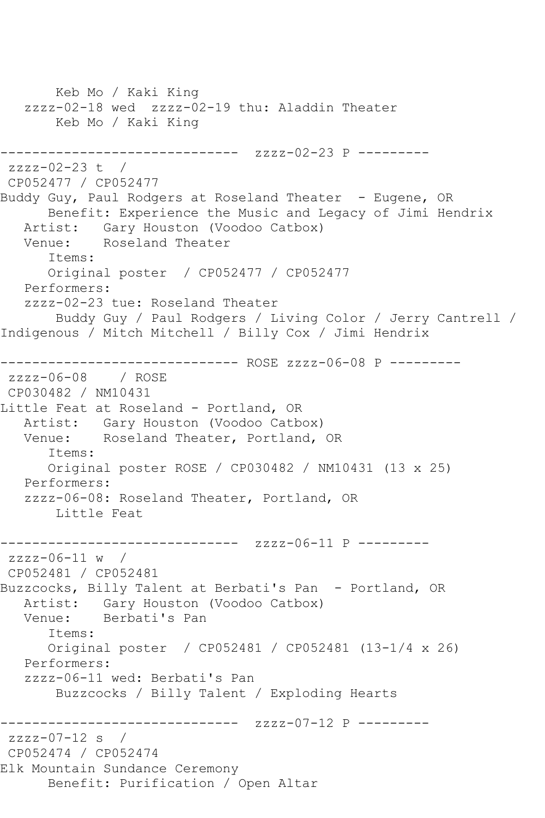Keb Mo / Kaki King zzzz-02-18 wed zzzz-02-19 thu: Aladdin Theater Keb Mo / Kaki King ------------------------------ zzzz-02-23 P -------- zzzz-02-23 t / CP052477 / CP052477 Buddy Guy, Paul Rodgers at Roseland Theater - Eugene, OR Benefit: Experience the Music and Legacy of Jimi Hendrix Artist: Gary Houston (Voodoo Catbox)<br>Venue: Roseland Theater Roseland Theater Items: Original poster / CP052477 / CP052477 Performers: zzzz-02-23 tue: Roseland Theater Buddy Guy / Paul Rodgers / Living Color / Jerry Cantrell / Indigenous / Mitch Mitchell / Billy Cox / Jimi Hendrix ------------------------------ ROSE zzzz-06-08 P -------- zzzz-06-08 / ROSE CP030482 / NM10431 Little Feat at Roseland - Portland, OR Artist: Gary Houston (Voodoo Catbox)<br>Venue: Roseland Theater, Portland, Roseland Theater, Portland, OR Items: Original poster ROSE / CP030482 / NM10431 (13 x 25) Performers: zzzz-06-08: Roseland Theater, Portland, OR Little Feat ------------------------------ zzzz-06-11 P -------- zzzz-06-11 w / CP052481 / CP052481 Buzzcocks, Billy Talent at Berbati's Pan - Portland, OR Artist: Gary Houston (Voodoo Catbox) Venue: Berbati's Pan Items: Original poster / CP052481 / CP052481 (13-1/4 x 26) Performers: zzzz-06-11 wed: Berbati's Pan Buzzcocks / Billy Talent / Exploding Hearts ------------------------------ zzzz-07-12 P -------- zzzz-07-12 s / CP052474 / CP052474 Elk Mountain Sundance Ceremony Benefit: Purification / Open Altar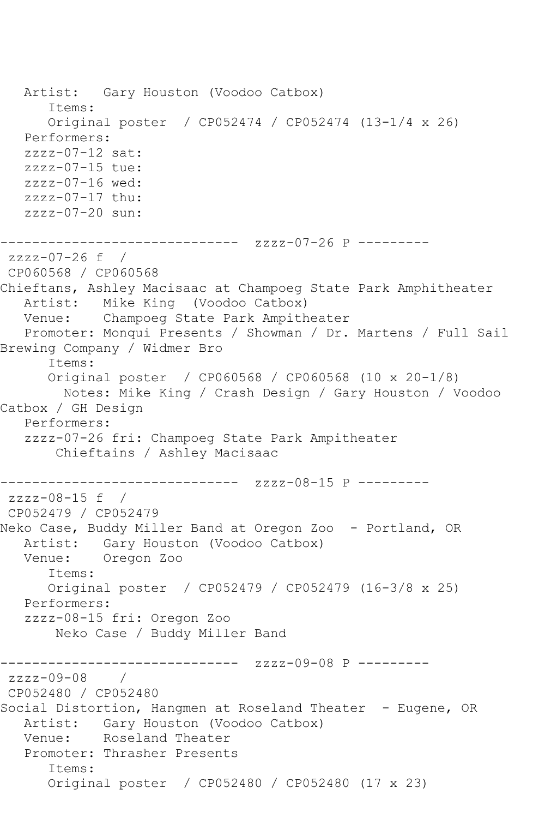Artist: Gary Houston (Voodoo Catbox) Items: Original poster / CP052474 / CP052474 (13-1/4 x 26) Performers:  $zzzz-07-12$  sat: zzzz-07-15 tue: zzzz-07-16 wed: zzzz-07-17 thu: zzzz-07-20 sun: ------------------------------ zzzz-07-26 P -------- zzzz-07-26 f / CP060568 / CP060568 Chieftans, Ashley Macisaac at Champoeg State Park Amphitheater Mike King (Voodoo Catbox) Venue: Champoeg State Park Ampitheater Promoter: Monqui Presents / Showman / Dr. Martens / Full Sail Brewing Company / Widmer Bro Items: Original poster / CP060568 / CP060568 (10 x 20-1/8) Notes: Mike King / Crash Design / Gary Houston / Voodoo Catbox / GH Design Performers: zzzz-07-26 fri: Champoeg State Park Ampitheater Chieftains / Ashley Macisaac ------------------------------ zzzz-08-15 P -------- zzzz-08-15 f / CP052479 / CP052479 Neko Case, Buddy Miller Band at Oregon Zoo - Portland, OR Artist: Gary Houston (Voodoo Catbox) Venue: Oregon Zoo Items: Original poster / CP052479 / CP052479 (16-3/8 x 25) Performers: zzzz-08-15 fri: Oregon Zoo Neko Case / Buddy Miller Band ------------------------------ zzzz-09-08 P --------  $zzzz-09-08$ CP052480 / CP052480 Social Distortion, Hangmen at Roseland Theater - Eugene, OR Artist: Gary Houston (Voodoo Catbox) Venue: Roseland Theater Promoter: Thrasher Presents Items: Original poster / CP052480 / CP052480 (17 x 23)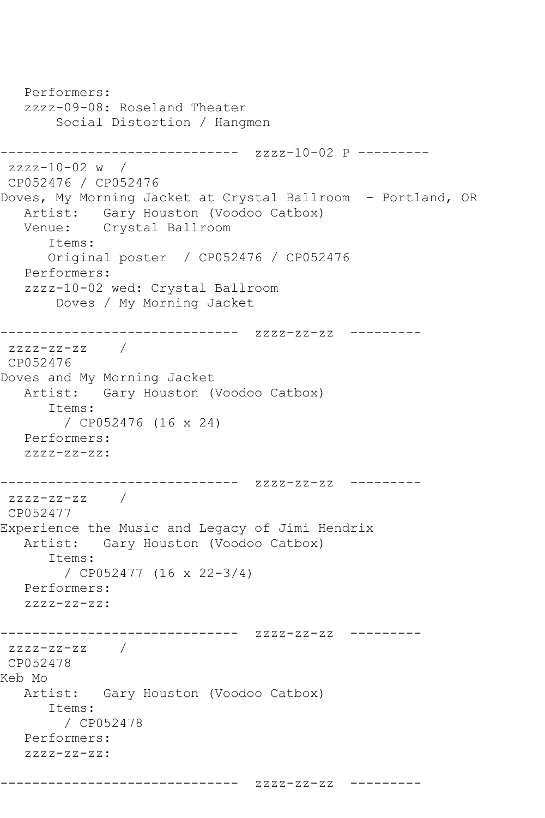```
 Performers:
   zzzz-09-08: Roseland Theater
        Social Distortion / Hangmen
------------------------------ zzzz-10-02 P ---------
zzzz-10-02 w / 
CP052476 / CP052476
Doves, My Morning Jacket at Crystal Ballroom - Portland, OR
   Artist: Gary Houston (Voodoo Catbox)
   Venue: Crystal Ballroom
      Items:
      Original poster / CP052476 / CP052476
   Performers:
   zzzz-10-02 wed: Crystal Ballroom
        Doves / My Morning Jacket
------------------------------ zzzz-zz-zz ---------
zzzz-zz-zz /
CP052476
Doves and My Morning Jacket
   Artist: Gary Houston (Voodoo Catbox)
      Items:
        / CP052476 (16 x 24)
   Performers:
   zzzz-zz-zz:
------------------------------ zzzz-zz-zz ---------
zzzz-zz-zz /
CP052477
Experience the Music and Legacy of Jimi Hendrix
   Artist: Gary Houston (Voodoo Catbox)
      Items:
         / CP052477 (16 x 22-3/4)
   Performers:
   zzzz-zz-zz:
------------------------------ zzzz-zz-zz ---------
zzzz-zz-zz / 
CP052478
Keb Mo
   Artist: Gary Houston (Voodoo Catbox)
      Items:
        / CP052478
   Performers:
   zzzz-zz-zz:
```
------------------------------ zzzz-zz-zz ---------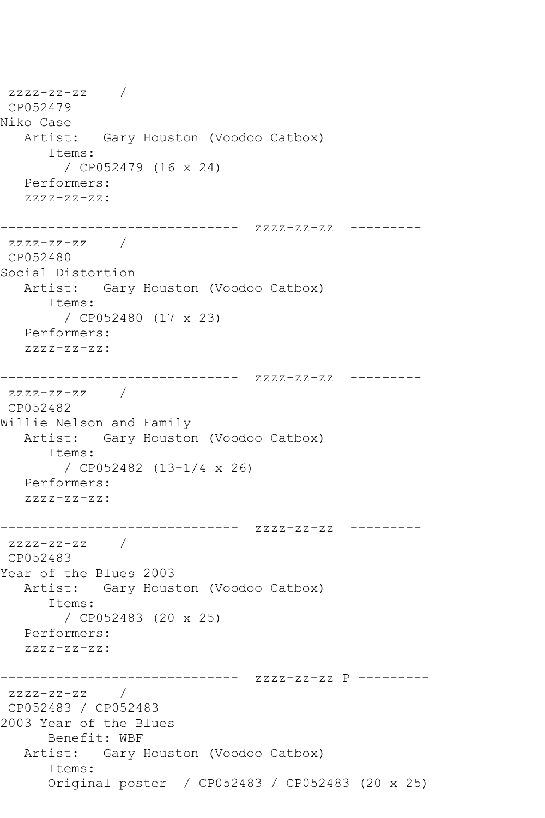```
zzzz-zz-zz / 
CP052479
Niko Case
   Artist: Gary Houston (Voodoo Catbox)
      Items:
         / CP052479 (16 x 24)
   Performers:
   zzzz-zz-zz:
------------------------------ zzzz-zz-zz ---------
zzzz-zz-zz / 
CP052480
Social Distortion
   Artist: Gary Houston (Voodoo Catbox)
      Items:
        / CP052480 (17 x 23)
   Performers:
   zzzz-zz-zz:
------------------------------ zzzz-zz-zz ---------
zzzz-zz-zz /
CP052482
Willie Nelson and Family
   Artist: Gary Houston (Voodoo Catbox)
      Items:
        / CP052482 (13-1/4 x 26)
   Performers:
   zzzz-zz-zz:
------------------------------ zzzz-zz-zz ---------
zzzz-zz-zz / 
CP052483
Year of the Blues 2003
   Artist: Gary Houston (Voodoo Catbox)
      Items:
        / CP052483 (20 x 25)
   Performers:
   zzzz-zz-zz:
------------------------------ zzzz-zz-zz P ---------
zzzz-zz-zz / 
CP052483 / CP052483
2003 Year of the Blues
      Benefit: WBF
   Artist: Gary Houston (Voodoo Catbox)
      Items:
      Original poster / CP052483 / CP052483 (20 x 25)
```